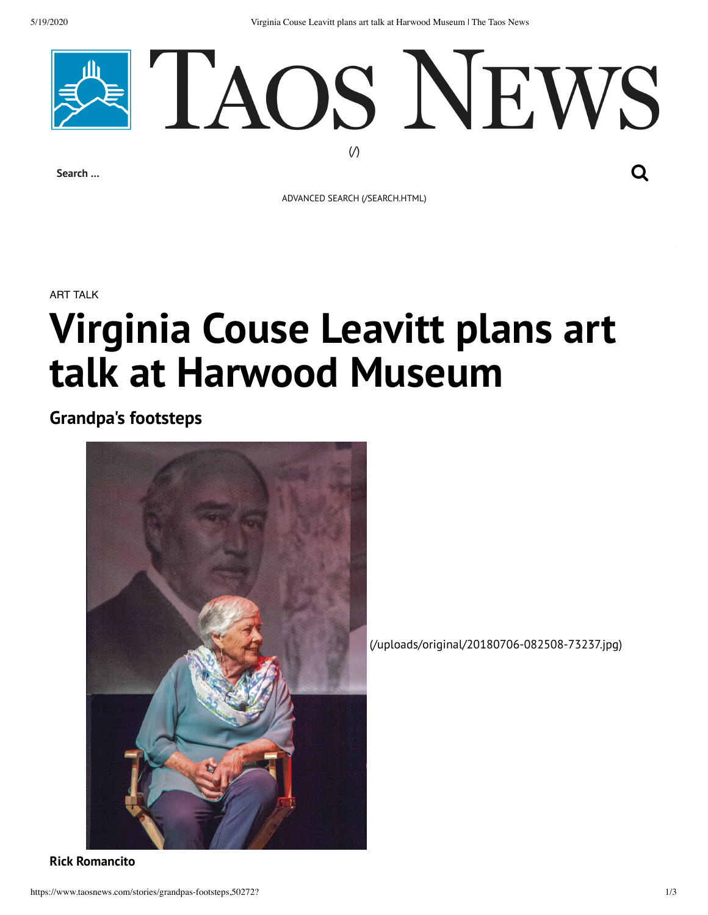5/19/2020 Virginia Couse Leavitt plans art talk at Harwood Museum | The Taos News



**Search …**

ADVANCED SEARCH [\(/SEARCH.HTML\)](https://www.taosnews.com/search.html)

ART TALK

## **Virginia Couse Leavitt plans art talk at Harwood Museum**

**Grandpa's footsteps**



[\(/uploads/original/20180706-082508-73237.jpg\)](https://www.taosnews.com/uploads/original/20180706-082508-73237.jpg)

**Rick Romancito**